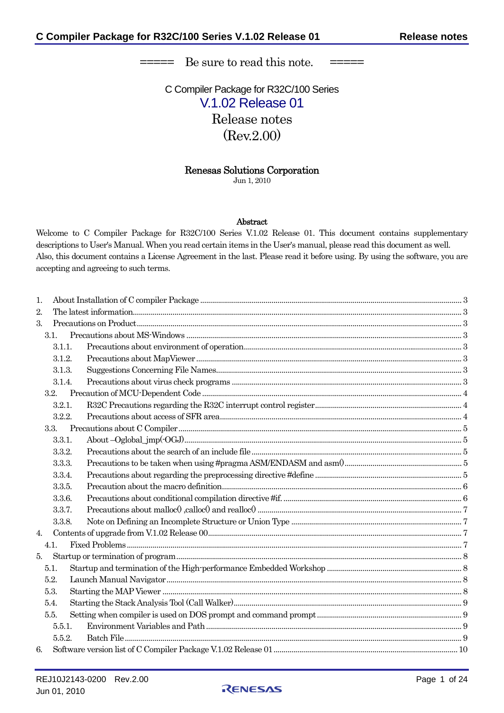===== Be sure to read this note. =====

C Compiler Package for R32C/100 Series V.1.02 Release 01 Release notes (Rev.2.00)

# Renesas Solutions Corporation

Jun 1, 2010

#### Abstract

Welcome to C Compiler Package for R32C/100 Series V.1.02 Release 01. This document contains supplementary descriptions to User's Manual. When you read certain items in the User's manual, please read this document as well. Also, this document contains a License Agreement in the last. Please read it before using. By using the software, you are accepting and agreeing to such terms.

| 1.               |        |  |  |  |  |
|------------------|--------|--|--|--|--|
| 2.               |        |  |  |  |  |
| 3.               |        |  |  |  |  |
|                  | 3.1.   |  |  |  |  |
|                  | 3.1.1. |  |  |  |  |
|                  | 3.1.2. |  |  |  |  |
|                  | 3.1.3. |  |  |  |  |
|                  | 3.1.4. |  |  |  |  |
|                  | 3.2.   |  |  |  |  |
|                  | 3.2.1. |  |  |  |  |
|                  | 3.2.2. |  |  |  |  |
|                  | 3.3.   |  |  |  |  |
|                  | 3.3.1. |  |  |  |  |
|                  | 3.3.2. |  |  |  |  |
|                  | 3.3.3. |  |  |  |  |
|                  | 3.3.4. |  |  |  |  |
|                  | 3.3.5. |  |  |  |  |
|                  | 3.3.6. |  |  |  |  |
|                  | 3.3.7. |  |  |  |  |
|                  | 3.3.8. |  |  |  |  |
| $\overline{4}$ . |        |  |  |  |  |
|                  | 4.1.   |  |  |  |  |
| 5.               |        |  |  |  |  |
|                  | 5.1.   |  |  |  |  |
|                  | 5.2.   |  |  |  |  |
|                  | 5.3.   |  |  |  |  |
|                  | 5.4.   |  |  |  |  |
|                  | 5.5.   |  |  |  |  |
|                  | 5.5.1. |  |  |  |  |
|                  | 5.5.2. |  |  |  |  |
| 6.               |        |  |  |  |  |

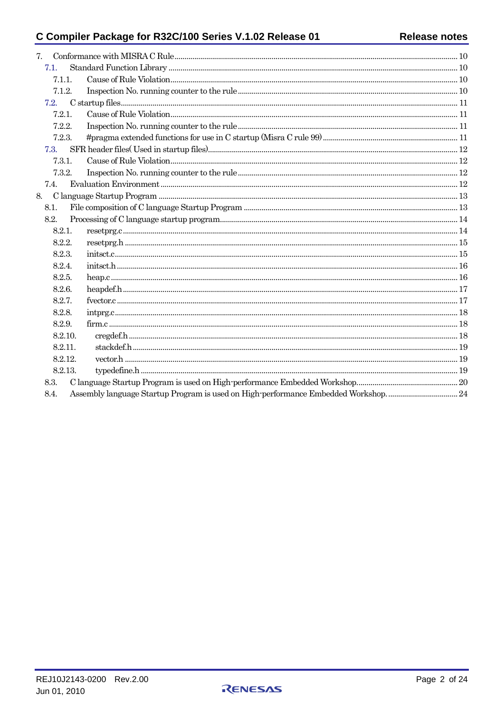# C Compiler Package for R32C/100 Series V.1.02 Release 01

| 7. |         |  |  |
|----|---------|--|--|
|    | 7.1.    |  |  |
|    | 7.1.1.  |  |  |
|    | 7.1.2.  |  |  |
|    | 7.2.    |  |  |
|    | 7.2.1.  |  |  |
|    | 7.2.2.  |  |  |
|    | 7.2.3.  |  |  |
|    | 7.3.    |  |  |
|    | 7.3.1.  |  |  |
|    | 7.3.2.  |  |  |
|    | 7.4.    |  |  |
|    | 8.      |  |  |
|    | 8.1.    |  |  |
|    | 8.2.    |  |  |
|    | 8.2.1.  |  |  |
|    | 8.2.2.  |  |  |
|    | 8.2.3.  |  |  |
|    | 8.2.4.  |  |  |
|    | 8.2.5.  |  |  |
|    | 8.2.6.  |  |  |
|    | 8.2.7.  |  |  |
|    | 8.2.8.  |  |  |
|    | 8.2.9.  |  |  |
|    | 8.2.10. |  |  |
|    | 8.2.11. |  |  |
|    | 8.2.12. |  |  |
|    | 8.2.13. |  |  |
|    | 8.3.    |  |  |
|    | 8.4.    |  |  |
|    |         |  |  |

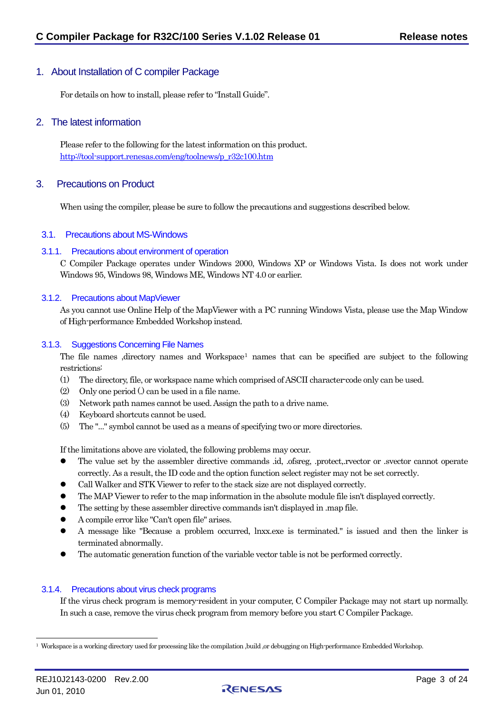# <span id="page-2-0"></span>1. About Installation of C compiler Package

For details on how to install, please refer to "Install Guide".

## 2. The latest information

Please refer to the following for the latest information on this product. [http://tool-support.renesas.com/eng/toolnews/p\\_r32c100.htm](http://tool-support.renesas.com/eng/toolnews/p_r32c100.htm)

# 3. Precautions on Product

When using the compiler, please be sure to follow the precautions and suggestions described below.

### 3.1. Precautions about MS-Windows

#### 3.1.1. Precautions about environment of operation

C Compiler Package operates under Windows 2000, Windows XP or Windows Vista. Is does not work under Windows 95, Windows 98, Windows ME, Windows NT 4.0 or earlier.

#### 3.1.2. Precautions about MapViewer

As you cannot use Online Help of the MapViewer with a PC running Windows Vista, please use the Map Window of High-performance Embedded Workshop instead.

#### 3.1.3. Suggestions Concerning File Names

The file names ,directory names and Workspace<sup>1</sup> names that can be specified are subject to the following restrictions:

- (1) The directory, file, or workspace name which comprised of ASCII character-code only can be used.
- (2) Only one period (.) can be used in a file name.
- (3) Network path names cannot be used. Assign the path to a drive name.
- (4) Keyboard shortcuts cannot be used.
- (5) The "..." symbol cannot be used as a means of specifying two or more directories.

If the limitations above are violated, the following problems may occur.

- The value set by the assembler directive commands .id, .ofsreg, .protect,.rvector or .svector cannot operate correctly. As a result, the ID code and the option function select register may not be set correctly.
- Call Walker and STK Viewer to refer to the stack size are not displayed correctly.
- $\bullet$  The MAP Viewer to refer to the map information in the absolute module file isn't displayed correctly.
- The setting by these assembler directive commands isn't displayed in .map file.
- z A compile error like "Can't open file" arises.
- A message like "Because a problem occurred, lnxx.exe is terminated." is issued and then the linker is terminated abnormally.
- The automatic generation function of the variable vector table is not be performed correctly.

### 3.1.4. Precautions about virus check programs

If the virus check program is memory-resident in your computer, C Compiler Package may not start up normally. In such a case, remove the virus check program from memory before you start C Compiler Package.



<span id="page-2-1"></span><sup>1</sup> Workspace is a working directory used for processing like the compilation ,build ,or debugging on High-performance Embedded Workshop.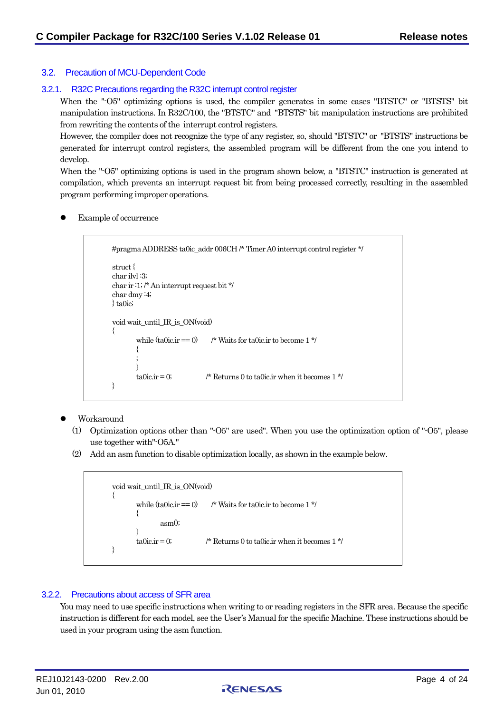### <span id="page-3-0"></span>3.2. Precaution of MCU-Dependent Code

### 3.2.1. R32C Precautions regarding the R32C interrupt control register

When the "-O5" optimizing options is used, the compiler generates in some cases "BTSTC" or "BTSTS" bit manipulation instructions. In R32C/100, the "BTSTC" and "BTSTS" bit manipulation instructions are prohibited from rewriting the contents of the interrupt control registers.

However, the compiler does not recognize the type of any register, so, should "BTSTC" or "BTSTS" instructions be generated for interrupt control registers, the assembled program will be different from the one you intend to develop.

When the "-O5" optimizing options is used in the program shown below, a "BTSTC" instruction is generated at compilation, which prevents an interrupt request bit from being processed correctly, resulting in the assembled program performing improper operations.

Example of occurrence

```
#pragma ADDRESS ta0ic_addr 006CH /* Timer A0 interrupt control register */ 
struct { 
char ilvl :3; 
char ir :1; /* An interrupt request bit */ 
char dmy :4; 
} ta0ic; 
void wait_until_IR_is_ON(void) 
{ 
         while (t_0 and \mathbf{r} = 0 /* Waits for tangle ir to become 1 */
         { 
         ; 
         } 
         ta0ic.ir = 0; \frac{1 \times 1}{1} Returns 0 to ta0ic.ir when it becomes 1 \frac{1 \times 1}{1}}
```
- Workaround
	- (1) Optimization options other than "-O5" are used". When you use the optimization option of "-O5", please use together with"-O5A."
	- (2) Add an asm function to disable optimization locally, as shown in the example below.

```
void wait_until_IR_is_ON(void) 
{ 
         while (ta0ic.\dot{r} = 0) /* Waits for ta0ic.ir to become 1 */
         { 
                 asm(); 
         } 
         ta0ic.ir = 0; \frac{1 \times 1}{1} Returns 0 to ta0ic.ir when it becomes 1 */
}
```
### 3.2.2. Precautions about access of SFR area

You may need to use specific instructions when writing to or reading registers in the SFR area. Because the specific instruction is different for each model, see the User's Manual for the specific Machine. These instructions should be used in your program using the asm function.

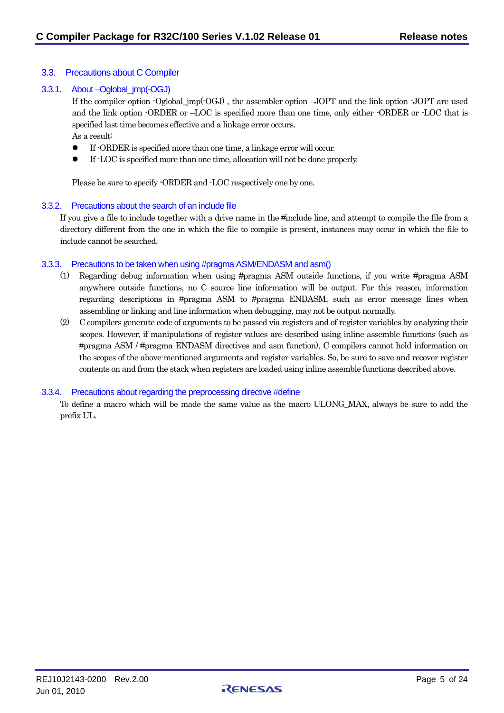### <span id="page-4-0"></span>3.3. Precautions about C Compiler

### 3.3.1. About –Oglobal\_jmp(-OGJ)

If the compiler option -Oglobal\_jmp(-OGJ) , the assembler option –JOPT and the link option -JOPT are used and the link option -ORDER or –LOC is specified more than one time, only either -ORDER or -LOC that is specified last time becomes effective and a linkage error occurs. As a result:

- z If -ORDER is specified more than one time, a linkage error will occur.
- If -LOC is specified more than one time, allocation will not be done properly.

Please be sure to specify -ORDER and -LOC respectively one by one.

#### 3.3.2. Precautions about the search of an include file

If you give a file to include together with a drive name in the #include line, and attempt to compile the file from a directory different from the one in which the file to compile is present, instances may occur in which the file to include cannot be searched.

#### 3.3.3. Precautions to be taken when using #pragma ASM/ENDASM and asm()

- (1) Regarding debug information when using #pragma ASM outside functions, if you write #pragma ASM anywhere outside functions, no C source line information will be output. For this reason, information regarding descriptions in #pragma ASM to #pragma ENDASM, such as error message lines when assembling or linking and line information when debugging, may not be output normally.
- (2) C compilers generate code of arguments to be passed via registers and of register variables by analyzing their scopes. However, if manipulations of register values are described using inline assemble functions (such as #pragma ASM / #pragma ENDASM directives and asm function), C compilers cannot hold information on the scopes of the above-mentioned arguments and register variables. So, be sure to save and recover register contents on and from the stack when registers are loaded using inline assemble functions described above.

### 3.3.4. Precautions about regarding the preprocessing directive #define

To define a macro which will be made the same value as the macro ULONG\_MAX, always be sure to add the prefix UL.

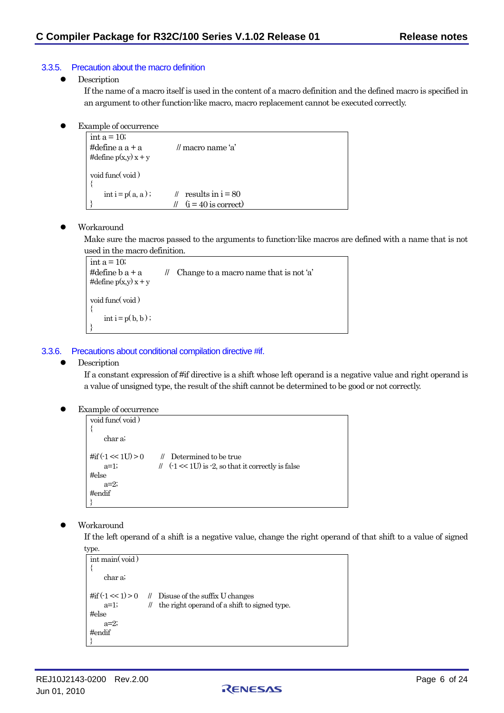### <span id="page-5-0"></span>3.3.5. Precaution about the macro definition

• Description

If the name of a macro itself is used in the content of a macro definition and the defined macro is specified in an argument to other function-like macro, macro replacement cannot be executed correctly.

Example of occurrence

```
int a = 10;
#define a + a // macro name 'a'
#define p(x,y) x + yvoid func( void ) 
{ 
    int i = p(a, a); // results in i = 80|/ (i = 40 is correct)
```
### Workaround

Make sure the macros passed to the arguments to function-like macros are defined with a name that is not used in the macro definition.

```
int a = 10;
#define b a + a // Change to a macro name that is not 'a'
#define p(x,y) x + yvoid func( void ) 
{ 
    \text{int } i = p(b, b);
}
```
### 3.3.6. Precautions about conditional compilation directive #if.

### Description

If a constant expression of #if directive is a shift whose left operand is a negative value and right operand is a value of unsigned type, the result of the shift cannot be determined to be good or not correctly.

Example of occurrence

```
void func( void ) 
{ 
    char a; 
\#if (\text{-}1 \ll 1U) > 0 // Determined to be true
    a=1; \| \| \leq 1U) is -2, so that it correctly is false
#else 
    a=2; 
#endif 
}
```
Workaround

If the left operand of a shift is a negative value, change the right operand of that shift to a value of signed

```
type. 
 int main( void ) 
  { 
      char a; 
 #if ( -1 < 1) > 0 // Disuse of the suffix U changes
      a=1; || the right operand of a shift to signed type.
 #else 
      a=2#endif 
  }
```
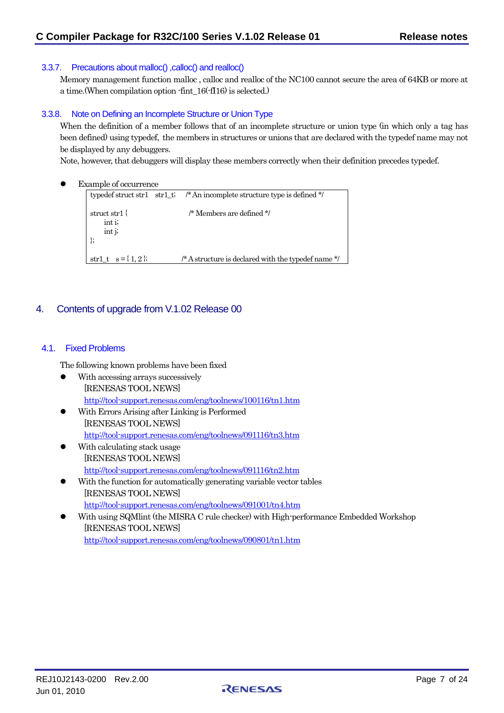### <span id="page-6-0"></span>3.3.7. Precautions about malloc() ,calloc() and realloc()

Memory management function malloc , calloc and realloc of the NC100 cannot secure the area of 64KB or more at a time.(When compilation option -fint\_16(-fI16) is selected.)

### 3.3.8. Note on Defining an Incomplete Structure or Union Type

When the definition of a member follows that of an incomplete structure or union type (in which only a tag has been defined) using typedef, the members in structures or unions that are declared with the typedef name may not be displayed by any debuggers.

Note, however, that debuggers will display these members correctly when their definition precedes typedef.

Example of occurrence

```
typedef struct str1 str1_t; /* An incomplete structure type is defined */
struct str1 { \frac{1}{2} /* Members are defined */
     int i; 
     int j; 
}; 
str1_t s = { 1, 2 }; /* A structure is declared with the typedef name */
```
# 4. Contents of upgrade from V.1.02 Release 00

### 4.1. Fixed Problems

The following known problems have been fixed

- $\bullet$  With accessing arrays successively [RENESAS TOOL NEWS] <http://tool-support.renesas.com/eng/toolnews/100116/tn1.htm>
- With Errors Arising after Linking is Performed [RENESAS TOOL NEWS] <http://tool-support.renesas.com/eng/toolnews/091116/tn3.htm>
- With calculating stack usage [RENESAS TOOL NEWS] <http://tool-support.renesas.com/eng/toolnews/091116/tn2.htm>
- With the function for automatically generating variable vector tables [RENESAS TOOL NEWS] <http://tool-support.renesas.com/eng/toolnews/091001/tn4.htm>
- With using SQMlint (the MISRA C rule checker) with High-performance Embedded Workshop [RENESAS TOOL NEWS] <http://tool-support.renesas.com/eng/toolnews/090801/tn1.htm>

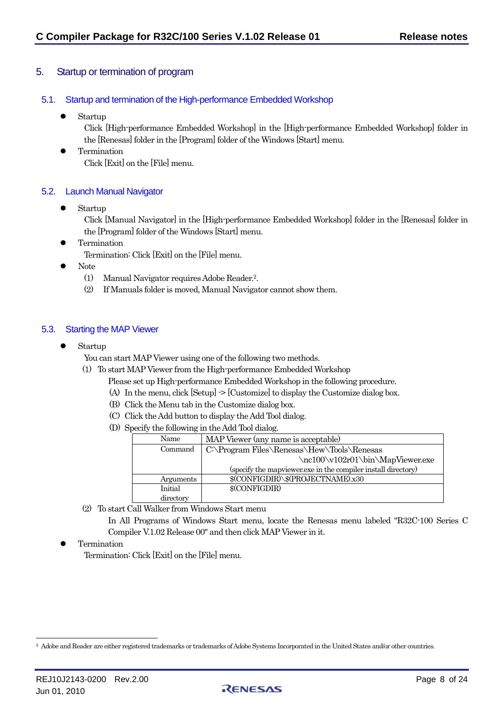# <span id="page-7-0"></span>5. Startup or termination of program

# 5.1. Startup and termination of the High-performance Embedded Workshop

Startup

Click [High-performance Embedded Workshop] in the [High-performance Embedded Workshop] folder in the [Renesas] folder in the [Program] folder of the Windows [Start] menu.

**•** Termination Click [Exit] on the [File] menu.

## 5.2. Launch Manual Navigator

Startup

Click [Manual Navigator] in the [High-performance Embedded Workshop] folder in the [Renesas] folder in the [Program] folder of the Windows [Start] menu.

**•** Termination

Termination: Click [Exit] on the [File] menu.

- $\bullet$  Note
	- (1) Manual Navigator requires Adobe Reader[.2.](#page-7-1)
	- (2) If Manuals folder is moved, Manual Navigator cannot show them.

## 5.3. Starting the MAP Viewer

 $\bullet$  Startup

You can start MAP Viewer using one of the following two methods.

- (1) To start MAP Viewer from the High-performance Embedded Workshop
	- Please set up High-performance Embedded Workshop in the following procedure.
	- (A) In the menu, click [Setup] -> [Customize] to display the Customize dialog box.
	- (B) Click the Menu tab in the Customize dialog box.
	- (C) Click the Add button to display the Add Tool dialog.
	- (D) Specify the following in the Add Tool dialog.

| Name                                                  | MAP Viewer (any name is acceptable)                           |
|-------------------------------------------------------|---------------------------------------------------------------|
| C:\Program Files\Renesas\Hew\Tools\Renesas<br>Command |                                                               |
|                                                       | \nc100\v102r01\bin\MapViewer.exe                              |
|                                                       | (specify the mapviewer.exe in the compiler install directory) |
| Arguments                                             | \$(CONFIGDIR)\\$(PROJECTNAME).x30                             |
| Initial                                               | \$(CONFIGDIR)                                                 |
| directory                                             |                                                               |

(2) To start Call Walker from Windows Start menu

In All Programs of Windows Start menu, locate the Renesas menu labeled "R32C-100 Series C Compiler V.1.02 Release 00" and then click MAP Viewer in it.

**Termination** 

Termination: Click [Exit] on the [File] menu.



<span id="page-7-1"></span><sup>&</sup>lt;sup>2</sup> Adobe and Reader are either registered trademarks or trademarks of Adobe Systems Incorporated in the United States and/or other countries.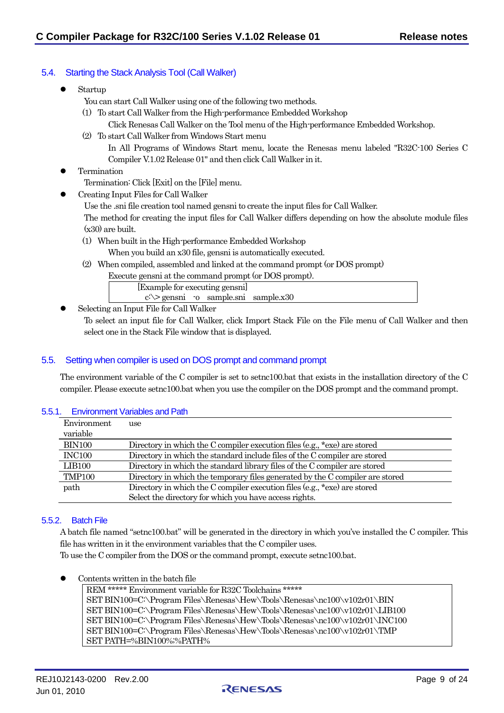# <span id="page-8-0"></span>5.4. Starting the Stack Analysis Tool (Call Walker)

- Startup
	- You can start Call Walker using one of the following two methods.
	- (1) To start Call Walker from the High-performance Embedded Workshop
		- Click Renesas Call Walker on the Tool menu of the High-performance Embedded Workshop.
	- (2) To start Call Walker from Windows Start menu

In All Programs of Windows Start menu, locate the Renesas menu labeled "R32C-100 Series C Compiler V.1.02 Release 01" and then click Call Walker in it.

**Termination** 

Termination: Click [Exit] on the [File] menu.

- z Creating Input Files for Call Walker
	- Use the .sni file creation tool named gensni to create the input files for Call Walker.

The method for creating the input files for Call Walker differs depending on how the absolute module files  $(x30)$  are built.

- (1) When built in the High-performance Embedded Workshop When you build an x30 file, gensni is automatically executed.
- (2) When compiled, assembled and linked at the command prompt (or DOS prompt)
	- Execute gensni at the command prompt (or DOS prompt).

[Example for executing gensni] c:\> gensni -o sample.sni sample.x30

Selecting an Input File for Call Walker

To select an input file for Call Walker, click Import Stack File on the File menu of Call Walker and then select one in the Stack File window that is displayed.

# 5.5. Setting when compiler is used on DOS prompt and command prompt

The environment variable of the C compiler is set to setnc100.bat that exists in the installation directory of the C compiler. Please execute setnc100.bat when you use the compiler on the DOS prompt and the command prompt.

### 5.5.1. Environment Variables and Path

| Environment   | use                                                                           |
|---------------|-------------------------------------------------------------------------------|
| variable      |                                                                               |
| <b>BIN100</b> | Directory in which the C compiler execution files (e.g., $*$ exe) are stored  |
| <b>INC100</b> | Directory in which the standard include files of the C compiler are stored    |
| <b>LIB100</b> | Directory in which the standard library files of the C compiler are stored    |
| <b>TMP100</b> | Directory in which the temporary files generated by the C compiler are stored |
| path          | Directory in which the C compiler execution files (e.g., $*$ exe) are stored  |
|               | Select the directory for which you have access rights.                        |

## 5.5.2. Batch File

A batch file named "setnc100.bat" will be generated in the directory in which you've installed the C compiler. This file has written in it the environment variables that the C compiler uses.

To use the C compiler from the DOS or the command prompt, execute setnc100.bat.

Contents written in the batch file

REM \*\*\*\*\* Environment variable for R32C Toolchains \*\*\*\*\* SET BIN100=C:\Program Files\Renesas\Hew\Tools\Renesas\nc100\v102r01\BIN SET BIN100=C:\Program Files\Renesas\Hew\Tools\Renesas\nc100\v102r01\LIB100 SET BIN100=C:\Program Files\Renesas\Hew\Tools\Renesas\nc100\v102r01\INC100 SET BIN100=C:\Program Files\Renesas\Hew\Tools\Renesas\nc100\v102r01\TMP SET PATH=%BIN100%;%PATH%

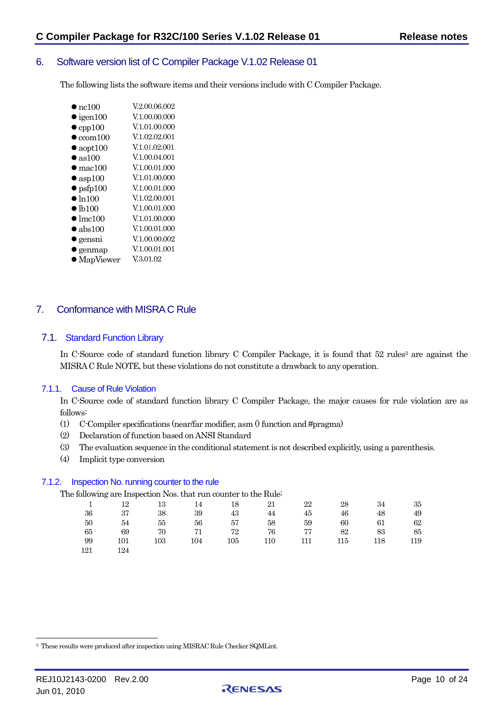# <span id="page-9-0"></span>6. Software version list of C Compiler Package V.1.02 Release 01

The following lists the software items and their versions include with C Compiler Package.

| $\bullet$ nc100           | V.2.00.06.002 |
|---------------------------|---------------|
| $\bullet$ igen100         | V.1.00.00.000 |
| $\bullet$ cpp100          | V.1.01.00.000 |
| $\bullet$ ${\rm ccom}100$ | V.1.02.02.001 |
| $\bullet$ aopt100         | V.1.01.02.001 |
| $\bullet$ as 100          | V.1.00.04.001 |
| $\bullet$ mac100          | V.1.00.01.000 |
| $\bullet$ asp100          | V.1.01.00.000 |
| $\bullet$ psfp100         | V.1.00.01.000 |
| $\bullet$ ln100           | V.1.02.00.001 |
| $\bullet$ lb100           | V.1.00.01.000 |
| $\bullet$ lmc100          | V.1.01.00.000 |
| $\bullet$ abs100          | V.1.00.01.000 |
| $\bullet$ gensni          | V.1.00.00.002 |
| genmap                    | V.1.00.01.001 |
|                           |               |

 $\bullet$  MapViewer V.3.01.02

# 7. Conformance with MISRA C Rule

### 7.1. Standard Function Library

In C-Source code of standard function library C Compiler Package, it is found that 52 rules<sup>3</sup> are against the MISRA C Rule NOTE, but these violations do not constitute a drawback to any operation.

### 7.1.1. Cause of Rule Violation

In C-Source code of standard function library C Compiler Package, the major causes for rule violation are as follows:

- (1) C-Compiler specifications (near/far modifier, asm () function and #pragma)
- (2) Declaration of function based on ANSI Standard
- (3) The evaluation sequence in the conditional statement is not described explicitly, using a parenthesis.
- (4) Implicit type conversion

#### 7.1.2. Inspection No. running counter to the rule

The following are Inspection Nos. that run counter to the Rule:

| $\overline{1}$ | - 12 | - 13 | 14 18 |       | 21   | 22              | 28    | 34         | -35 |
|----------------|------|------|-------|-------|------|-----------------|-------|------------|-----|
| 36             | 37   | -38  | - 39  | 43    | 44   | 45              | 46    | 48         | -49 |
| 50             | 54   | 55   | 56    | 57    | 58   | 59              | 60 —  | 61         | 62  |
| 65             | - 69 | -70  |       | 71 72 | 76 — |                 | 77 82 | 83         | -85 |
| -99            | 101  | 103  |       |       |      | 104 105 110 111 |       | 115<br>118 | 119 |
| 121            | 124  |      |       |       |      |                 |       |            |     |



<span id="page-9-1"></span><sup>3</sup> These results were produced after inspection using MISRAC Rule Checker SQMLint.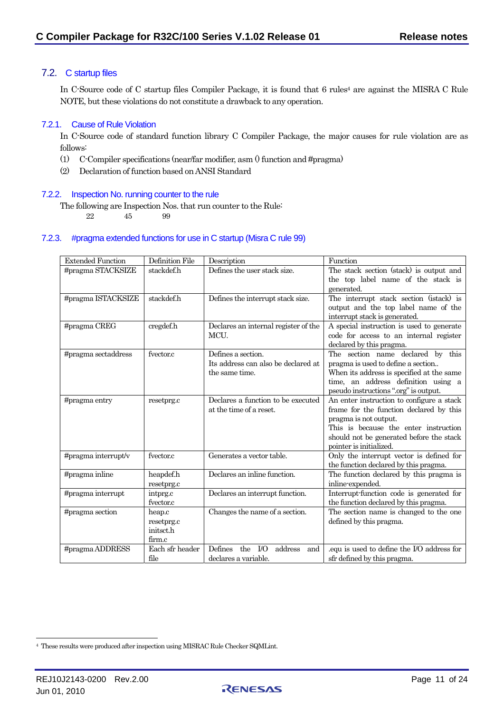# <span id="page-10-0"></span>7.2. C startup files

In C-Source code of C startup files Compiler Package, it is found that 6 rules<sup>4</sup> are against the MISRA C Rule NOTE, but these violations do not constitute a drawback to any operation.

### 7.2.1. Cause of Rule Violation

In C-Source code of standard function library C Compiler Package, the major causes for rule violation are as follows:

- (1) C-Compiler specifications (near/far modifier, asm () function and #pragma)
- (2) Declaration of function based on ANSI Standard

### 7.2.2. Inspection No. running counter to the rule

The following are Inspection Nos. that run counter to the Rule:

22 45 99

### 7.2.3. #pragma extended functions for use in C startup (Misra C rule 99)

| <b>Extended Function</b> | Definition File | Description                                               | Function                                                                        |
|--------------------------|-----------------|-----------------------------------------------------------|---------------------------------------------------------------------------------|
| #pragma STACKSIZE        | stackdef.h      | Defines the user stack size.                              | The stack section (stack) is output and                                         |
|                          |                 |                                                           | the top label name of the stack is                                              |
|                          |                 |                                                           | generated.                                                                      |
| #pragma ISTACKSIZE       | stackdef.h      | Defines the interrupt stack size.                         | The interrupt stack section (istack) is                                         |
|                          |                 |                                                           | output and the top label name of the                                            |
|                          |                 |                                                           | interrupt stack is generated.                                                   |
| #pragma CREG             | cregdef.h       | Declares an internal register of the                      | A special instruction is used to generate                                       |
|                          |                 | MCU.                                                      | code for access to an internal register                                         |
|                          |                 |                                                           | declared by this pragma.                                                        |
| #pragma sectaddress      | fyector.c       | Defines a section.<br>Its address can also be declared at | The section name declared by this                                               |
|                          |                 | the same time.                                            | pragma is used to define a section<br>When its address is specified at the same |
|                          |                 |                                                           | time, an address definition using a                                             |
|                          |                 |                                                           | pseudo instructions ".org" is output.                                           |
| #pragma entry            | resetprg.c      | Declares a function to be executed                        | An enter instruction to configure a stack                                       |
|                          |                 | at the time of a reset.                                   | frame for the function declared by this                                         |
|                          |                 |                                                           | pragma is not output.                                                           |
|                          |                 |                                                           | This is because the enter instruction                                           |
|                          |                 |                                                           | should not be generated before the stack                                        |
|                          |                 |                                                           | pointer is initialized.                                                         |
| #pragma interrupt/v      | fvector.c       | Generates a vector table.                                 | Only the interrupt vector is defined for                                        |
|                          |                 |                                                           | the function declared by this pragma.                                           |
| #pragma inline           | heapdef.h       | Declares an inline function.                              | The function declared by this pragma is                                         |
|                          | resetprg.c      |                                                           | inline-expended.                                                                |
| #pragma interrupt        | intprg.c        | Declares an interrupt function.                           | Interrupt-function code is generated for                                        |
|                          | fvector.c       |                                                           | the function declared by this pragma.                                           |
| #pragma section          | heap.c          | Changes the name of a section.                            | The section name is changed to the one                                          |
|                          | resetprg.c      |                                                           | defined by this pragma.                                                         |
|                          | initsct.h       |                                                           |                                                                                 |
|                          | firm.c          |                                                           |                                                                                 |
| #pragma ADDRESS          | Each sfr header | Defines<br>the $IO$<br>address<br>and                     | .equ is used to define the I/O address for                                      |
|                          | file            | declares a variable.                                      | sfr defined by this pragma.                                                     |



<span id="page-10-1"></span><sup>4</sup> These results were produced after inspection using MISRAC Rule Checker SQMLint.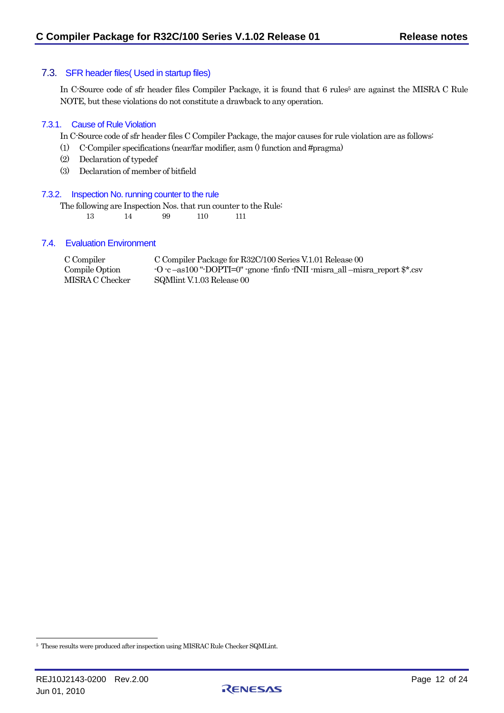### <span id="page-11-0"></span>7.3. SFR header files( Used in startup files)

In C-Source code of sfr header files Compiler Package, it is found that 6 rules<sup>5</sup> are against the MISRA C Rule NOTE, but these violations do not constitute a drawback to any operation.

#### 7.3.1. Cause of Rule Violation

In C-Source code of sfr header files C Compiler Package, the major causes for rule violation are as follows:

- (1) C-Compiler specifications (near/far modifier, asm () function and #pragma)
- (2) Declaration of typedef
- (3) Declaration of member of bitfield

#### 7.3.2. Inspection No. running counter to the rule

The following are Inspection Nos. that run counter to the Rule: 13 14 99 110 111

#### 7.4. Evaluation Environment

| C Compiler      | C Compiler Package for R32C/100 Series V.1.01 Release 00                                                                               |
|-----------------|----------------------------------------------------------------------------------------------------------------------------------------|
| Compile Option  | $-0$ $-c$ $-$ as100 " $-$ DOPTI $=$ 0" $-$ gnone $-f$ nfo $-f$ NII $-misra$ <sub>-cent</sub> $-$ misra $\pm$ eport $\frac{6}{3}$ *.csv |
| MISRA C Checker | SQMInt V.1.03 Release 00                                                                                                               |



<span id="page-11-1"></span><sup>5</sup> These results were produced after inspection using MISRAC Rule Checker SQMLint.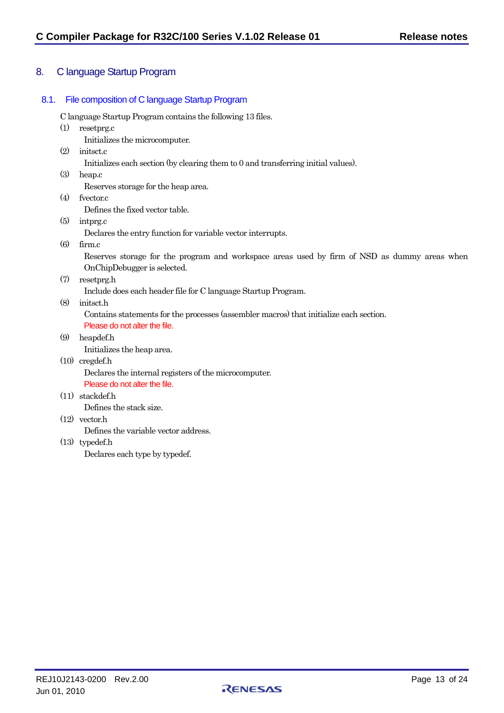# <span id="page-12-0"></span>8. C language Startup Program

# 8.1. File composition of C language Startup Program

C language Startup Program contains the following 13 files.

(1) resetprg.c

Initializes the microcomputer.

(2) initsct.c

Initializes each section (by clearing them to 0 and transferring initial values).

(3) heap.c

Reserves storage for the heap area.

(4) fvector.c

Defines the fixed vector table.

(5) intprg.c

Declares the entry function for variable vector interrupts.

(6) firm.c

Reserves storage for the program and workspace areas used by firm of NSD as dummy areas when OnChipDebugger is selected.

(7) resetprg.h

Include does each header file for C language Startup Program.

(8) initsct.h

Contains statements for the processes (assembler macros) that initialize each section.

Please do not alter the file.

(9) heapdef.h Initializes the heap area.

# (10) cregdef.h Declares the internal registers of the microcomputer.

Please do not alter the file.

(11) stackdef.h

Defines the stack size.

(12) vector.h

Defines the variable vector address.

(13) typedef.h

Declares each type by typedef.

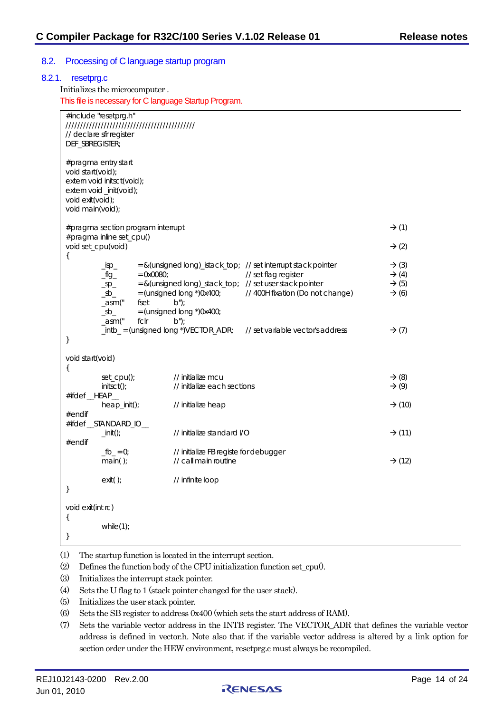### <span id="page-13-0"></span>8.2. Processing of C language startup program

| DEF_SBREGISTER;                                           | #include "resetprg.h"<br>// declare sfr register                                                                     |                                                                                                                                 |                                                                                                                                                      |                                                                                  |
|-----------------------------------------------------------|----------------------------------------------------------------------------------------------------------------------|---------------------------------------------------------------------------------------------------------------------------------|------------------------------------------------------------------------------------------------------------------------------------------------------|----------------------------------------------------------------------------------|
| void start(void);<br>void exit(void);<br>void main(void); | #pragma entry start<br>extern void initsct(void);<br>extern void_init(void);                                         |                                                                                                                                 |                                                                                                                                                      |                                                                                  |
|                                                           | #pragma section program interrupt                                                                                    |                                                                                                                                 |                                                                                                                                                      | $\rightarrow$ (1)                                                                |
|                                                           | #pragma inline set_cpu()<br>void set_cpu(void)                                                                       |                                                                                                                                 |                                                                                                                                                      | $\rightarrow$ (2)                                                                |
| ₹                                                         | $\_\$ {isp\_}<br>$\frac{f}{f} = \frac{f}{f}$<br>$\_sp$<br>$\_sb$<br>_asm("<br>fset<br>$\_$ sb $\_$<br>fclr<br>_asm(" | $= 0x0080;$<br>= & (unsigned long)_stack_top; // set user stack pointer<br>$b$ ");<br>$=$ (unsigned long $*$ )0x400;<br>$b$ "); | = & (unsigned long)_istack_top; // set interrupt stack pointer<br>// set flag register<br>= (unsigned long *)0x400; // 400H fixation (Do not change) | $\rightarrow$ (3)<br>$\rightarrow$ (4)<br>$\rightarrow$ (5)<br>$\rightarrow$ (6) |
| }                                                         |                                                                                                                      |                                                                                                                                 | $\text{intb}_ = \text{(unsigned long *)} \text{VECTOR}\_\text{APR}$ ; // set variable vector's address                                               | $\rightarrow$ (7)                                                                |
| void start(void)                                          |                                                                                                                      |                                                                                                                                 |                                                                                                                                                      |                                                                                  |
| $\{$<br>#ifdef_HEAP_                                      | $set\_cpu()$ ;<br>$initsct()$ ;                                                                                      | // initialize mcu<br>// initlalize each sections                                                                                |                                                                                                                                                      | $\rightarrow$ (8)<br>$\rightarrow$ (9)                                           |
| $#$ endif                                                 | heap_init();                                                                                                         | // initialize heap                                                                                                              |                                                                                                                                                      | $\rightarrow$ (10)                                                               |
|                                                           | #ifdef_STANDARD_IO_                                                                                                  |                                                                                                                                 |                                                                                                                                                      |                                                                                  |
| #endif                                                    | $\overline{\phantom{0}}$ init $\overline{\phantom{0}}$ :                                                             | // initialize standard I/O                                                                                                      |                                                                                                                                                      | $\rightarrow$ (11)                                                               |
|                                                           | $fb_ = 0;$<br>main();                                                                                                | // initialize FB registe for debugger<br>// call main routine                                                                   |                                                                                                                                                      | $\rightarrow$ (12)                                                               |
| }                                                         | exit();                                                                                                              | // infinite loop                                                                                                                |                                                                                                                                                      |                                                                                  |
|                                                           |                                                                                                                      |                                                                                                                                 |                                                                                                                                                      |                                                                                  |

(1) The startup function is located in the interrupt section.

- (2) Defines the function body of the CPU initialization function set\_cpu $(0, 1)$ .
- (3) Initializes the interrupt stack pointer.
- (4) Sets the U flag to 1 (stack pointer changed for the user stack).
- (5) Initializes the user stack pointer.
- (6) Sets the SB register to address 0x400 (which sets the start address of RAM).
- (7) Sets the variable vector address in the INTB register. The VECTOR\_ADR that defines the variable vector address is defined in vector.h. Note also that if the variable vector address is altered by a link option for section order under the HEW environment, resetprg.c must always be recompiled.

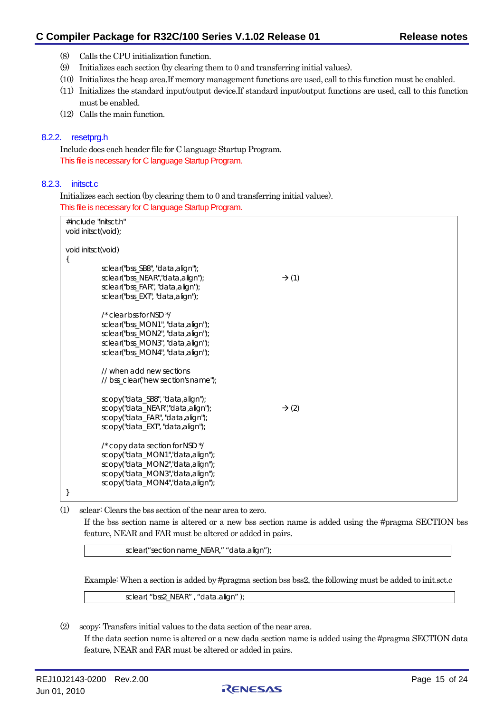- <span id="page-14-0"></span>(8) Calls the CPU initialization function.
- (9) Initializes each section (by clearing them to 0 and transferring initial values).
- (10) Initializes the heap area.If memory management functions are used, call to this function must be enabled.
- (11) Initializes the standard input/output device.If standard input/output functions are used, call to this function must be enabled.
- (12) Calls the main function.

### 8.2.2. resetprg.h

Include does each header file for C language Startup Program. This file is necessary for C language Startup Program.

### 8.2.3. initsct.c

Initializes each section (by clearing them to 0 and transferring initial values). This file is necessary for C language Startup Program.

| #include "initsct.h"<br>void initsct(void); |                                                                                                                                                                                        |                   |  |  |  |
|---------------------------------------------|----------------------------------------------------------------------------------------------------------------------------------------------------------------------------------------|-------------------|--|--|--|
| void initsct(void)<br>ί                     | sclear("bss_SB8", "data,align");<br>sclear("bss_NEAR","data,align");<br>sclear("bss_FAR", "data,align");<br>sclear("bss_EXT", "data,align");                                           | $\rightarrow$ (1) |  |  |  |
|                                             | $\prime$ * clear bss for NSD $^*/$<br>sclear("bss_MON1", "data,align");<br>sclear("bss_MON2", "data,align");<br>sclear("bss_MON3", "data,align");<br>sclear("bss_MON4", "data,align"); |                   |  |  |  |
|                                             | // when add new sections<br>// bss_clear("new section's name");                                                                                                                        |                   |  |  |  |
|                                             | scopy("data_SB8", "data, align");<br>scopy("data_NEAR","data,align");<br>scopy("data_FAR", "data, align");<br>scopy("data_EXT", "data,align");                                         | $\rightarrow$ (2) |  |  |  |
|                                             | /* copy data section for NSD */<br>scopy("data_MON1","data,align");<br>scopy("data_MON2","data,align");<br>scopy("data_MON3","data,align");<br>scopy("data_MON4","data,align");        |                   |  |  |  |

(1) sclear: Clears the bss section of the near area to zero.

If the bss section name is altered or a new bss section name is added using the #pragma SECTION bss feature, NEAR and FAR must be altered or added in pairs.

sclear("section name\_NEAR," "data.align");

Example: When a section is added by #pragma section bss bss2, the following must be added to init.sct.c

sclear( "bss2\_NEAR" , "data.align" );

(2) scopy: Transfers initial values to the data section of the near area. If the data section name is altered or a new dada section name is added using the #pragma SECTION data feature, NEAR and FAR must be altered or added in pairs.

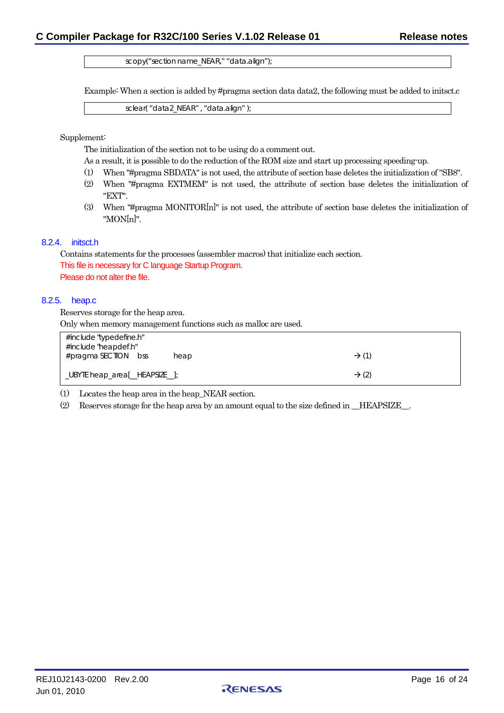scopy("section name\_NEAR," "data.align");

<span id="page-15-0"></span>Example: When a section is added by #pragma section data data2, the following must be added to initsct.c

sclear( "data2\_NEAR" , "data.align" );

Supplement:

The initialization of the section not to be using do a comment out.

- As a result, it is possible to do the reduction of the ROM size and start up processing speeding-up.
- (1) When "#pragma SBDATA" is not used, the attribute of section base deletes the initialization of "SB8".
- (2) When "#pragma EXTMEM" is not used, the attribute of section base deletes the initialization of "EXT".
- (3) When "#pragma MONITOR[n]" is not used, the attribute of section base deletes the initialization of "MON[n]".

#### 8.2.4. initsct.h

Contains statements for the processes (assembler macros) that initialize each section. This file is necessary for C language Startup Program. Please do not alter the file.

#### 8.2.5. heap.c

Reserves storage for the heap area.

Only when memory management functions such as malloc are used.

| #include "typedefine.h"<br>#include "heapdef.h" |      |                   |
|-------------------------------------------------|------|-------------------|
| #pragma SECTION bss                             | heap | $\rightarrow$ (1) |
| _UBYTE heap_area[_HEAPSIZE_];                   |      | $\rightarrow$ (2) |

(1) Locates the heap area in the heap\_NEAR section.

(2) Reserves storage for the heap area by an amount equal to the size defined in \_\_HEAPSIZE\_\_.

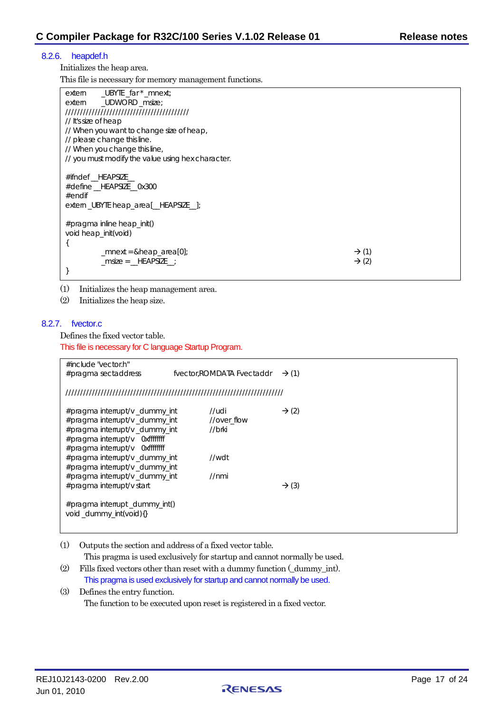### <span id="page-16-0"></span>8.2.6. heapdef.h

Initializes the heap area.

This file is necessary for memory management functions.

| _UBYTE _far * _mnext;<br>extern                   |                   |
|---------------------------------------------------|-------------------|
| _UDWORD _msize;<br>extern                         |                   |
|                                                   |                   |
| // It's size of heap                              |                   |
| // When you want to change size of heap,          |                   |
| // please change this line.                       |                   |
| // When you change this line,                     |                   |
| // you must modify the value using hex character. |                   |
|                                                   |                   |
| #ifndef HEAPSIZE                                  |                   |
| #define HEAPSIZE 0x300                            |                   |
| $#$ endif                                         |                   |
| extern_UBYTE heap_area[_HEAPSIZE_];               |                   |
|                                                   |                   |
| $\#$ pragma inline heap_init()                    |                   |
| void heap_init(void)                              |                   |
|                                                   |                   |
| $\_$ mnext = &heap_area $[0]$ ;                   | $\rightarrow$ (1) |
| $msize = _HEAPSIZE$                               | $\rightarrow$ (2) |
|                                                   |                   |
|                                                   |                   |

(1) Initializes the heap management area.

(2) Initializes the heap size.

#### 8.2.7. fvector.c

Defines the fixed vector table.

This file is necessary for C language Startup Program.

| #include "vector.h"<br>#pragma sectaddress                                                                                                                                                                                                                                | fvector.ROMDATA Fvectaddr                        | $\rightarrow$ (1) |
|---------------------------------------------------------------------------------------------------------------------------------------------------------------------------------------------------------------------------------------------------------------------------|--------------------------------------------------|-------------------|
|                                                                                                                                                                                                                                                                           |                                                  |                   |
| $#$ pragma interrupt/v_dummy_int<br>#pragma interrupt/v_dummy_int<br>#pragma interrupt/v dummy int<br>#pragma interrupt/v 0xffffffff<br>#pragma interrupt/v 0xffffffff<br>#pragma interrupt/v_dummy_int<br>#pragma interrupt/v_dummy_int<br>#pragma interrupt/v_dummy_int | //udi<br>//over flow<br>//brki<br>//wdt<br>//nmi | $\rightarrow$ (2) |
| #pragma interrupt/v start<br>$\#$ pragma interrupt _dummy_int()                                                                                                                                                                                                           |                                                  | $\rightarrow$ (3) |
| void_dummy_int(void){}                                                                                                                                                                                                                                                    |                                                  |                   |

(1) Outputs the section and address of a fixed vector table.

This pragma is used exclusively for startup and cannot normally be used.

(2) Fills fixed vectors other than reset with a dummy function (\_dummy\_int). This pragma is used exclusively for startup and cannot normally be used.

(3) Defines the entry function. The function to be executed upon reset is registered in a fixed vector.

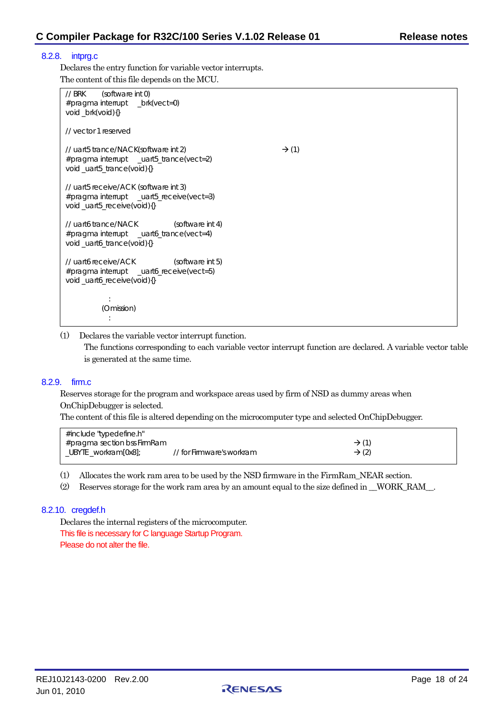### <span id="page-17-0"></span>8.2.8. intprg.c

Declares the entry function for variable vector interrupts. The content of this file depends on the MCU.

| $\frac{1}{1}$ BRK<br>(software int 0)<br>#pragma interrupt _brk(vect=0)<br>void_brk(void){}                     |                   |
|-----------------------------------------------------------------------------------------------------------------|-------------------|
| // yector 1 reserved                                                                                            |                   |
| // uart5 trance/NACK(software int 2)<br>#pragma interrupt _uart5_trance(vect=2)<br>void_uart5_trance(void){}    | $\rightarrow$ (1) |
| // uart5 receive/ACK (software int 3)<br>#pragma interrupt _uart5_receive(vect=3)<br>void_uart5_receive(void){} |                   |
| // uart6 trance/NACK (software int 4)<br>#pragma interrupt _uart6_trance(vect=4)<br>void_uart6_trance(void){}   |                   |
| // uart6 receive/ACK (software int 5)<br>#pragma interrupt _uart6_receive(vect=5)<br>void_uart6_receive(void){} |                   |
| (Omission)                                                                                                      |                   |

(1) Declares the variable vector interrupt function.

The functions corresponding to each variable vector interrupt function are declared. A variable vector table is generated at the same time.

#### 8.2.9. firm.c

Reserves storage for the program and workspace areas used by firm of NSD as dummy areas when OnChipDebugger is selected.

The content of this file is altered depending on the microcomputer type and selected OnChipDebugger.

| #include "typedefine.h"     |                           |                   |
|-----------------------------|---------------------------|-------------------|
| #pragma section bss FirmRam |                           | $\rightarrow$ (1) |
| _UBYTE _workram[0x8];       | // for Firmware's workram | $\rightarrow$ (2) |

(1) Allocates the work ram area to be used by the NSD firmware in the FirmRam\_NEAR section.

(2) Reserves storage for the work ram area by an amount equal to the size defined in \_\_WORK\_RAM\_\_.

### 8.2.10. cregdef.h

Declares the internal registers of the microcomputer. This file is necessary for C language Startup Program. Please do not alter the file.

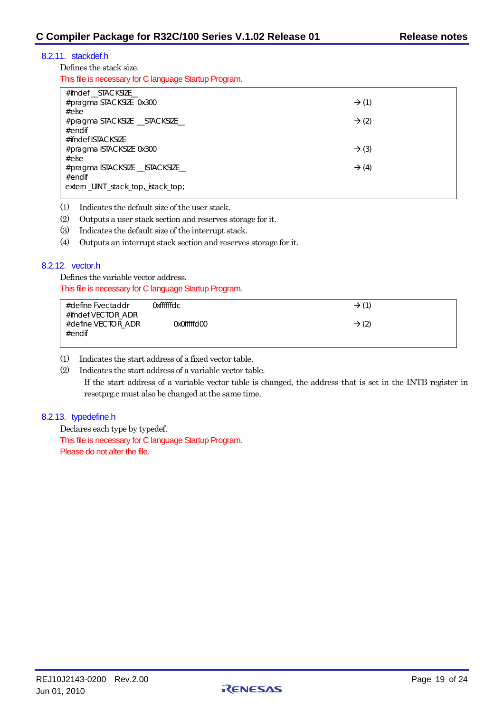# <span id="page-18-0"></span>8.2.11. stackdef.h

Defines the stack size.

This file is necessary for C language Startup Program.

| #ifndef STACKSIZE                  |                   |
|------------------------------------|-------------------|
| #pragma STACKSIZE 0x300            | $\rightarrow$ (1) |
| #else                              |                   |
| #pragma STACKSIZE __STACKSIZE__    | $\rightarrow$ (2) |
| $#$ endif                          |                   |
| #ifndef ISTACKSIZE                 |                   |
| #pragma ISTACKSIZE 0x300           | $\rightarrow$ (3) |
| #else                              |                   |
| #pragma ISTACKSIZE __ ISTACKSIZE_  | $\rightarrow$ (4) |
| $#$ endif                          |                   |
| extern_UINT_stack_top,_istack_top; |                   |

(1) Indicates the default size of the user stack.

(2) Outputs a user stack section and reserves storage for it.

(3) Indicates the default size of the interrupt stack.

(4) Outputs an interrupt stack section and reserves storage for it.

#### 8.2.12. vector.h

Defines the variable vector address. This file is necessary for C language Startup Program.

| #define Fvectaddr  | Oxffffffdc. | $\rightarrow$ (1) |
|--------------------|-------------|-------------------|
| #ifndef VECTOR ADR |             |                   |
| #define VECTOR ADR | 0x0fffffd00 | $\rightarrow$ (2) |
| $#$ endif          |             |                   |

(1) Indicates the start address of a fixed vector table.

(2) Indicates the start address of a variable vector table.

If the start address of a variable vector table is changed, the address that is set in the INTB register in resetprg.c must also be changed at the same time.

### 8.2.13. typedefine.h

Declares each type by typedef. This file is necessary for C language Startup Program. Please do not alter the file.

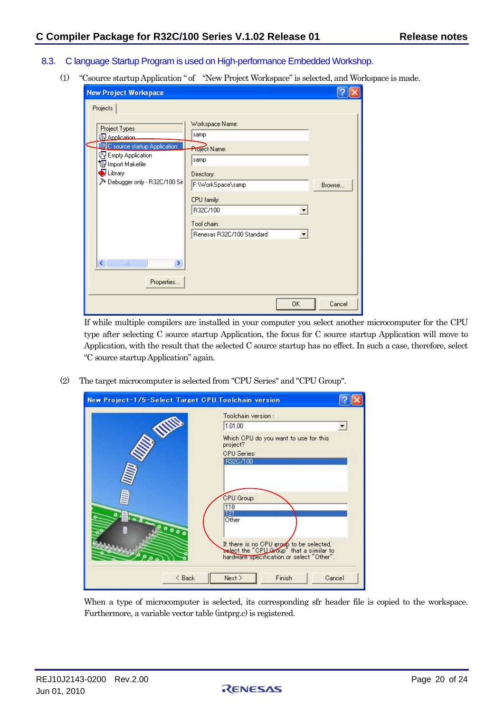- <span id="page-19-0"></span>8.3. C language Startup Program is used on High-performance Embedded Workshop.
	- (1) "Csource startup Application " of "New Project Workspace" is selected, and Workspace is made.

| <b>New Project Workspace</b>                                                                                                                                                                             |                                                                                                                               |        |
|----------------------------------------------------------------------------------------------------------------------------------------------------------------------------------------------------------|-------------------------------------------------------------------------------------------------------------------------------|--------|
| Projects<br>Project Types<br><b>R</b> Application<br><b>TR.</b> C source startup Application<br><b>B</b> Empty Application<br>To Import Makefile<br>$\bigcirc$ Library<br>> Debugger only - R32C/100 Sir | Workspace Name:<br>samp<br>Project Name:<br>samp<br>Directory:<br>F:\WorkSpace\samp<br>CPU family:<br>R32C/100<br>Tool chain: | Browse |
| ≮∥<br>$\rm HII$<br>Properties                                                                                                                                                                            | Renesas R32C/100 Standard<br>OK.                                                                                              | Cancel |

If while multiple compilers are installed in your computer you select another microcomputer for the CPU type after selecting C source startup Application, the focus for C source startup Application will move to Application, with the result that the selected C source startup has no effect. In such a case, therefore, select "C source startup Application" again.

(2) The target microcomputer is selected from "CPU Series" and "CPU Group".

| New Project-1/5-Select Target CPU. Toolchain version |                                                                                                                                                                        |        |
|------------------------------------------------------|------------------------------------------------------------------------------------------------------------------------------------------------------------------------|--------|
|                                                      | Toolchain version:<br>1.01.00                                                                                                                                          |        |
|                                                      | Which CPU do you want to use for this<br>project?<br><b>CPU</b> Series:<br>R32C/100                                                                                    |        |
| 0000                                                 | CPU Group:<br>118<br>191<br>Other<br>If there is no CPU group to be selected,<br>select the "CPU Group" that a similar to<br>hardware specification or select "Other". |        |
| $\leq$ Back                                          | Next ><br>Finish                                                                                                                                                       | Cancel |

When a type of microcomputer is selected, its corresponding sfr header file is copied to the workspace. Furthermore, a variable vector table (intprg.c) is registered.

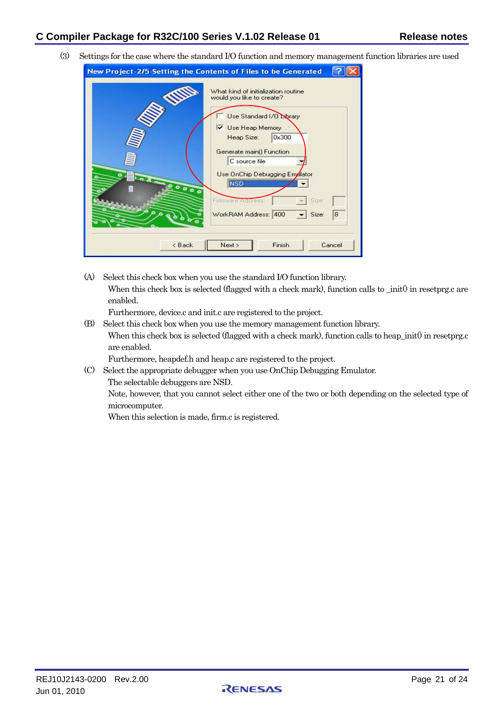÷.

 $F = 10$ 

(3) Settings for the case where the standard I/O function and memory management function libraries are used

(A) Select this check box when you use the standard I/O function library. When this check box is selected (flagged with a check mark), function calls to \_init() in resetprg.c are enabled.

Furthermore, device.c and init.c are registered to the project.

(B) Select this check box when you use the memory management function library. When this check box is selected (flagged with a check mark), function calls to heap\_init() in resetprg.c are enabled.

Furthermore, heapdef.h and heap.c are registered to the project.

(C) Select the appropriate debugger when you use OnChip Debugging Emulator.

The selectable debuggers are NSD.

Note, however, that you cannot select either one of the two or both depending on the selected type of microcomputer.

When this selection is made, firm.c is registered.

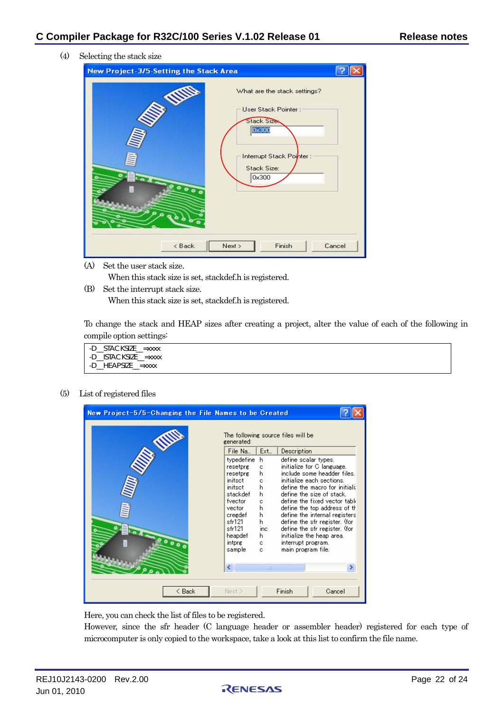(4) Selecting the stack size

| New Project-3/5-Setting the Stack Area                                                                                                                                                                                         |        |  |  |  |
|--------------------------------------------------------------------------------------------------------------------------------------------------------------------------------------------------------------------------------|--------|--|--|--|
| <b>So Nille</b><br>What are the stack settings?<br>User Stack Pointer:<br>Stack Sizes<br>Dx300<br>Interrupt Stack Pointer:<br>Stack Size:<br>$\bullet$<br>0x300<br>0000<br>۰<br>$\sigma_{\rm e}$<br>Finish<br>Next ><br>< Back | Cancel |  |  |  |
|                                                                                                                                                                                                                                |        |  |  |  |

(A) Set the user stack size.

When this stack size is set, stackdef.h is registered.

(B) Set the interrupt stack size. When this stack size is set, stackdef.h is registered.

To change the stack and HEAP sizes after creating a project, alter the value of each of the following in compile option settings:

| -D STACKSIZE = xxxx  |  |
|----------------------|--|
| -D ISTACKSIZE = xxxx |  |
| -D HEAPSIZE = xxxx   |  |

(5) List of registered files



Here, you can check the list of files to be registered.

However, since the sfr header (C language header or assembler header) registered for each type of microcomputer is only copied to the workspace, take a look at this list to confirm the file name.

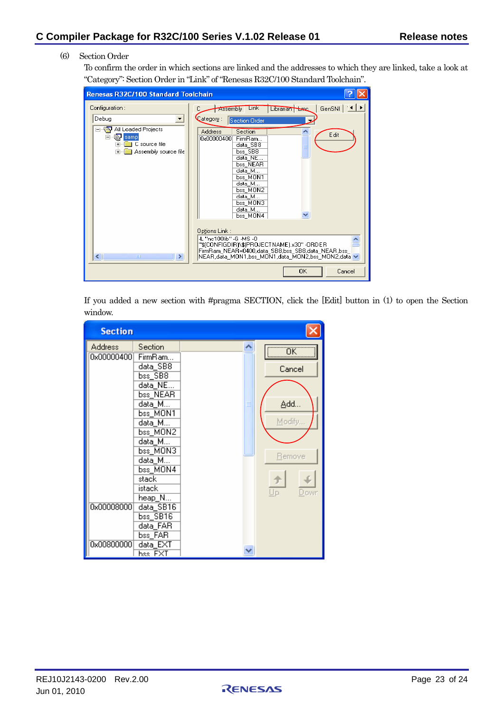### (6) Section Order

To confirm the order in which sections are linked and the addresses to which they are linked, take a look at "Category": Section Order in "Link" of "Renesas R32C/100 Standard Toolchain".

| <b>Renesas R32C/100 Standard Toolchain</b>                                                              |                                                                                                                                                                                                                                             |
|---------------------------------------------------------------------------------------------------------|---------------------------------------------------------------------------------------------------------------------------------------------------------------------------------------------------------------------------------------------|
| Configuration:                                                                                          | GenSNI   11   ▶<br>Librarian Loc<br><b>Link</b><br>Assembly                                                                                                                                                                                 |
| Debug<br>All Loaded Projects<br><b>de samp</b><br>E<br>C source file<br>Ė<br>Assembly source file<br>Fŀ | Category:<br>Section Order<br><b>Address</b><br>Section<br>Edit<br>0x00000400<br>FirmBam<br>data SB8<br>$bss$ <sub>_SB8</sub><br>data NE<br>bss NEAR<br>data_M<br>bss MON1<br>data_M<br>bss MON2<br>data M<br>bss MON3<br>data M            |
| ◁∥<br>$\rightarrow$<br><b>THE</b>                                                                       | bss MON4<br>Options Link:<br>-L "nc100lib" -G -MS -0<br>"\$(CONFIGDIR)\\$(PROJECTNAME).x30" -ORDER<br>FirmRam NEAR=0400,data SB8,bss SB8,data NEAR,bss<br>NEAR,data_MON1,bss_MON1,data_MON2,bss_MON2,data $\backsim$<br><b>OK</b><br>Cancel |

If you added a new section with #pragma SECTION, click the [Edit] button in (1) to open the Section window.

| <b>Section</b>               |                                              |  |               |
|------------------------------|----------------------------------------------|--|---------------|
| <b>Address</b><br>0x00000400 | Section<br>FirmRam<br>data_SB8<br>bss_SB8    |  | ΰK<br>Cancel  |
|                              | data_NE<br>bss_NEAR<br>data_M…               |  | Add           |
|                              | $bss_MON1$<br>data_M…<br>bss_MON2            |  | Modify        |
|                              | data M<br>bss_MON3<br>data_M<br>bss MON4     |  | <b>Remove</b> |
|                              | stack<br>istack<br>$heap_N$                  |  | Up<br>Dowr    |
| 0x00008000                   | data SB16<br>bss_SB16<br>data FAR<br>bss_FAR |  |               |
| 0x00800000                   | data_EXT<br>hss FXT                          |  |               |